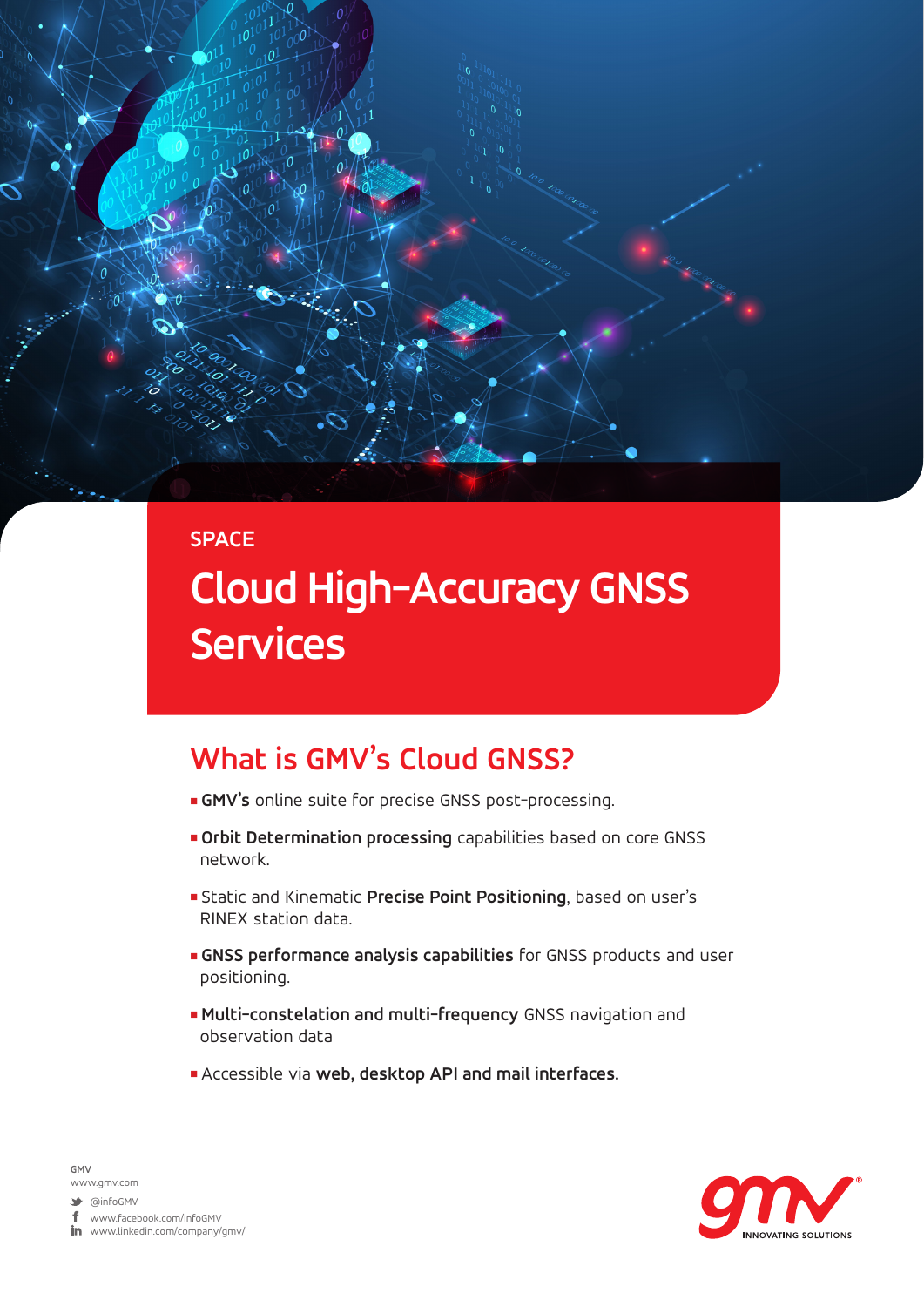

## **SPACE Cloud High-Accuracy GNSS Services**

#### **What is GMV's Cloud GNSS?**

- **GMV's** online suite for precise GNSS post-processing.
- **n** Orbit Determination processing capabilities based on core GNSS network.
- <sup>n</sup> Static and Kinematic **Precise Point Positioning**, based on user's RINEX station data.
- **GNSS performance analysis capabilities** for GNSS products and user positioning.
- <sup>n</sup> **Multi-constelation and multi-frequency** GNSS navigation and observation data
- <sup>n</sup> Accessible via **web, desktop API and mail interfaces.**



**GMV** www.gmv.com

 $\blacktriangleright$  @infoGMV

www.facebook.com/infoGMV

 $\mathop{{\rm Im}\hskip 1pt}\nolimits$  www.linkedin.com/company/gmv/